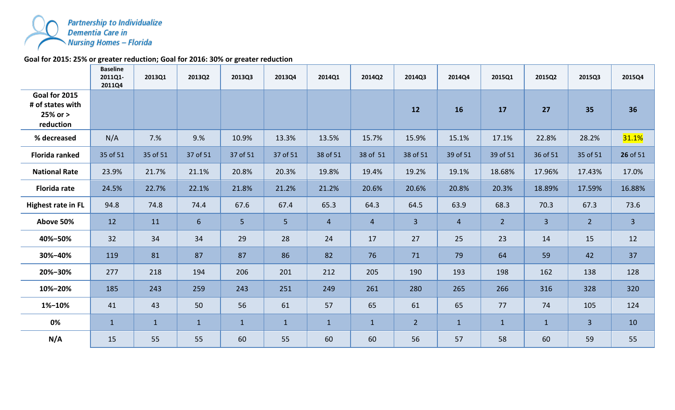

## **Goal for 2015: 25% or greater reduction; Goal for 2016: 30% or greater reduction**

|                                                                | <b>Baseline</b><br>2011Q1-<br>2011Q4 | 2013Q1       | 2013Q2           | 2013Q3       | 2013Q4         | 2014Q1         | 2014Q2         | 2014Q3         | 2014Q4         | 2015Q1         | 2015Q2         | 2015Q3         | 2015Q4       |
|----------------------------------------------------------------|--------------------------------------|--------------|------------------|--------------|----------------|----------------|----------------|----------------|----------------|----------------|----------------|----------------|--------------|
| Goal for 2015<br># of states with<br>$25%$ or $>$<br>reduction |                                      |              |                  |              |                |                |                | 12             | 16             | 17             | 27             | 35             | 36           |
| % decreased                                                    | N/A                                  | 7.%          | 9.%              | 10.9%        | 13.3%          | 13.5%          | 15.7%          | 15.9%          | 15.1%          | 17.1%          | 22.8%          | 28.2%          | 31.1%        |
| <b>Florida ranked</b>                                          | 35 of 51                             | 35 of 51     | 37 of 51         | 37 of 51     | 37 of 51       | 38 of 51       | 38 of 51       | 38 of 51       | 39 of 51       | 39 of 51       | 36 of 51       | 35 of 51       | 26 of 51     |
| <b>National Rate</b>                                           | 23.9%                                | 21.7%        | 21.1%            | 20.8%        | 20.3%          | 19.8%          | 19.4%          | 19.2%          | 19.1%          | 18.68%         | 17.96%         | 17.43%         | 17.0%        |
| <b>Florida rate</b>                                            | 24.5%                                | 22.7%        | 22.1%            | 21.8%        | 21.2%          | 21.2%          | 20.6%          | 20.6%          | 20.8%          | 20.3%          | 18.89%         | 17.59%         | 16.88%       |
| <b>Highest rate in FL</b>                                      | 94.8                                 | 74.8         | 74.4             | 67.6         | 67.4           | 65.3           | 64.3           | 64.5           | 63.9           | 68.3           | 70.3           | 67.3           | 73.6         |
| Above 50%                                                      | 12                                   | 11           | $6 \overline{6}$ | 5            | 5 <sup>1</sup> | $\overline{4}$ | $\overline{4}$ | $\overline{3}$ | $\overline{4}$ | 2 <sup>2</sup> | $\overline{3}$ | $\overline{2}$ | $\mathbf{3}$ |
| 40%-50%                                                        | 32                                   | 34           | 34               | 29           | 28             | 24             | 17             | 27             | 25             | 23             | 14             | 15             | 12           |
| 30%-40%                                                        | 119                                  | 81           | 87               | 87           | 86             | 82             | 76             | 71             | 79             | 64             | 59             | 42             | 37           |
| 20%-30%                                                        | 277                                  | 218          | 194              | 206          | 201            | 212            | 205            | 190            | 193            | 198            | 162            | 138            | 128          |
| 10%-20%                                                        | 185                                  | 243          | 259              | 243          | 251            | 249            | 261            | 280            | 265            | 266            | 316            | 328            | 320          |
| 1%-10%                                                         | 41                                   | 43           | 50               | 56           | 61             | 57             | 65             | 61             | 65             | 77             | 74             | 105            | 124          |
| 0%                                                             | $\mathbf{1}$                         | $\mathbf{1}$ | $\mathbf{1}$     | $\mathbf{1}$ | $\mathbf{1}$   | $\mathbf{1}$   | $\mathbf{1}$   | $\overline{2}$ | $\mathbf{1}$   | $\mathbf{1}$   | $\mathbf{1}$   | $\overline{3}$ | 10           |
| N/A                                                            | 15                                   | 55           | 55               | 60           | 55             | 60             | 60             | 56             | 57             | 58             | 60             | 59             | 55           |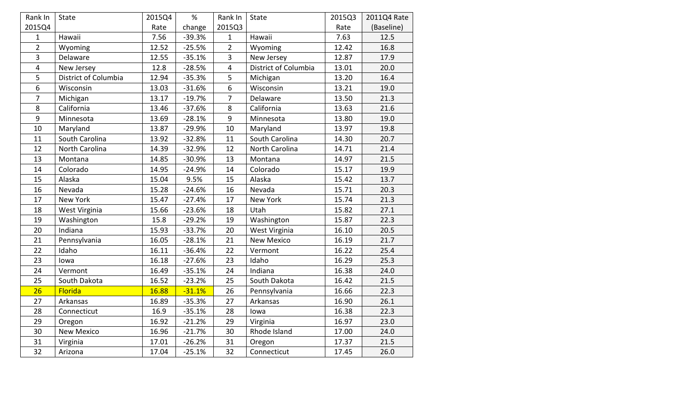| Rank In                 | State                | 2015Q4 | %        | Rank In                 | <b>State</b>         | 2015Q3 | 2011Q4 Rate |
|-------------------------|----------------------|--------|----------|-------------------------|----------------------|--------|-------------|
| 2015Q4                  |                      | Rate   | change   | 2015Q3                  |                      | Rate   | (Baseline)  |
| $\mathbf{1}$            | Hawaii               | 7.56   | $-39.3%$ | $\mathbf{1}$            | Hawaii               | 7.63   | 12.5        |
| $\overline{2}$          | Wyoming              | 12.52  | $-25.5%$ | $\overline{2}$          | Wyoming              | 12.42  | 16.8        |
| 3                       | Delaware             | 12.55  | $-35.1%$ | $\overline{3}$          | New Jersey           | 12.87  | 17.9        |
| $\overline{\mathbf{4}}$ | New Jersey           | 12.8   | $-28.5%$ | $\overline{\mathbf{4}}$ | District of Columbia | 13.01  | 20.0        |
| 5                       | District of Columbia | 12.94  | $-35.3%$ | 5                       | Michigan             | 13.20  | 16.4        |
| 6                       | Wisconsin            | 13.03  | $-31.6%$ | 6                       | Wisconsin            | 13.21  | 19.0        |
| $\overline{7}$          | Michigan             | 13.17  | $-19.7%$ | $\overline{7}$          | Delaware             | 13.50  | 21.3        |
| 8                       | California           | 13.46  | $-37.6%$ | 8<br>California         |                      | 13.63  | 21.6        |
| 9                       | Minnesota            | 13.69  | $-28.1%$ | $9\,$                   | Minnesota            |        | 19.0        |
| 10                      | Maryland             | 13.87  | $-29.9%$ | 10                      | Maryland             | 13.97  | 19.8        |
| 11                      | South Carolina       | 13.92  | $-32.8%$ | 11                      | South Carolina       | 14.30  | 20.7        |
| 12                      | North Carolina       | 14.39  | $-32.9%$ | 12                      | North Carolina       | 14.71  | 21.4        |
| 13                      | Montana              | 14.85  | $-30.9%$ | 13                      | Montana              | 14.97  | 21.5        |
| 14                      | Colorado             | 14.95  | $-24.9%$ | 14                      | Colorado             | 15.17  | 19.9        |
| 15                      | Alaska               | 15.04  | 9.5%     | 15                      | Alaska               | 15.42  | 13.7        |
| 16                      | Nevada               | 15.28  | $-24.6%$ | 16                      | Nevada               | 15.71  | 20.3        |
| 17                      | New York             | 15.47  | $-27.4%$ | 17                      | New York             | 15.74  | 21.3        |
| 18                      | West Virginia        | 15.66  | $-23.6%$ | 18                      | Utah                 | 15.82  | 27.1        |
| 19                      | Washington           | 15.8   | $-29.2%$ | 19                      | Washington           | 15.87  | 22.3        |
| 20                      | Indiana              | 15.93  | $-33.7%$ | 20                      | West Virginia        | 16.10  | 20.5        |
| 21                      | Pennsylvania         | 16.05  | $-28.1%$ | 21                      | <b>New Mexico</b>    | 16.19  | 21.7        |
| 22                      | Idaho                | 16.11  | $-36.4%$ | 22                      | Vermont              | 16.22  | 25.4        |
| 23                      | lowa                 | 16.18  | $-27.6%$ | 23                      | Idaho                | 16.29  | 25.3        |
| 24                      | Vermont              | 16.49  | $-35.1%$ | 24                      | Indiana              | 16.38  | 24.0        |
| 25                      | South Dakota         | 16.52  | $-23.2%$ | 25                      | South Dakota         | 16.42  | 21.5        |
| 26                      | Florida              | 16.88  | $-31.1%$ | 26                      | Pennsylvania         | 16.66  | 22.3        |
| 27                      | Arkansas             | 16.89  | $-35.3%$ | 27                      | Arkansas             | 16.90  | 26.1        |
| 28                      | Connecticut          | 16.9   | $-35.1%$ | 28                      | lowa                 | 16.38  | 22.3        |
| 29                      | Oregon               | 16.92  | $-21.2%$ | 29                      | Virginia             | 16.97  | 23.0        |
| 30                      | <b>New Mexico</b>    | 16.96  | $-21.7%$ | 30                      | Rhode Island         | 17.00  | 24.0        |
| 31                      | Virginia             | 17.01  | $-26.2%$ | 31                      | Oregon               | 17.37  | 21.5        |
| 32                      | Arizona              | 17.04  | $-25.1%$ | 32                      | Connecticut          | 17.45  | 26.0        |